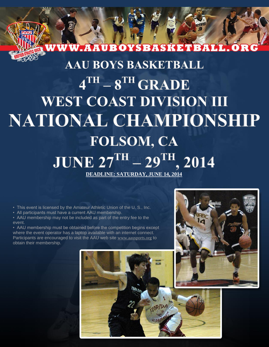## WW.AAUBOYSBASKETBALL.OR **AAU BOYS BASKETBALL**  $4<sup>TH</sup> - 8<sup>TH</sup>$  GRADE **WEST COAST DIVISION III NATIONAL CHAMPIONSHIP FOLSOM, CA**

# **JUNE 27<sup>TH</sup>** - 29<sup>TH</sup>, 2014

**DEADLINE: SATURDAY, JUNE 14, 2014**

• This event is licensed by the Amateur Athletic Union of the U. S., Inc.

• All participants must have a current AAU membership.

• AAU membership may not be included as part of the entry fee to the event.

• AAU membership must be obtained before the competition begins except where the event operator has a laptop available with an internet connect. Participants are encouraged to visit the AAU web site [www.aausports.org](http://aausports.org/default.asp?a=pg_membership.htm) to obtain their membership.

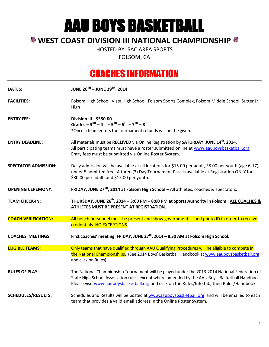AAU BOYS BASKETBALL

#### **WEST COAST DIVISION III NATIONAL CHAMPIONSHIP**

HOSTED BY: SAC AREA SPORTS

FOLSOM, CA

### COACHES INFORMATION

| <b>DATES:</b>               | JUNE 26TH - JUNE 29TH, 2014                                                                                                                                                                                                                                                                       |
|-----------------------------|---------------------------------------------------------------------------------------------------------------------------------------------------------------------------------------------------------------------------------------------------------------------------------------------------|
| <b>FACILITIES:</b>          | Folsom High School, Vista High School, Folsom Sports Complex, Folsom Middle School, Sutter Jr<br>High                                                                                                                                                                                             |
| <b>ENTRY FEE:</b>           | Division III - \$550.00<br>Grades - $3^{RD}$ - $4^{TH}$ - $5^{TH}$ - $6^{TH}$ - $7^{TH}$ - $8^{TH}$<br>*Once a team enters the tournament refunds will not be given.                                                                                                                              |
| <b>ENTRY DEADLINE:</b>      | All materials must be RECEIVED via Online Registration by SATURDAY, JUNE 14 <sup>th</sup> , 2014.<br>All participating teams must have a roster submitted online at www.aauboysbasketball.org<br>Entry fees must be submitted via Online Roster System.                                           |
| <b>SPECTATOR ADMISSION:</b> | Daily admission will be available at all locations for \$15.00 per adult, \$8.00 per youth (age 6-17),<br>under 5 admitted free. A three (3) Day Tournament Pass is available at Registration ONLY for<br>\$30.00 per adult, and \$15.00 per youth.                                               |
| <b>OPENING CEREMONY:</b>    | FRIDAY, JUNE $27TH$ , 2014 at Folsom High School - All athletes, coaches & spectators.                                                                                                                                                                                                            |
| <b>TEAM CHECK-IN:</b>       | THURSDAY, JUNE 26 <sup>th</sup> , 2014 - 3:00 PM - 8:00 PM at Sports Authority in Folsom . ALL COACHES &<br>ATHLETES MUST BE PRESENT AT REGISTRATION.                                                                                                                                             |
| <b>COACH VERIFICATION:</b>  | All bench personnel must be present and show government issued photo ID in order to receive<br>credentials. NO EXCEPTIONS                                                                                                                                                                         |
| <b>COACHES' MEETINGS:</b>   | First coaches' meeting: FRIDAY, JUNE 27 <sup>th</sup> , 2014 - 8:30 AM at Folsom High School.                                                                                                                                                                                                     |
| <b>ELIGIBLE TEAMS:</b>      | Only teams that have qualified through AAU Qualifying Procedures will be eligible to compete in<br>the National Championships. (See 2014 Boys' Basketball Handbook at www.aauboysbasketball.org<br>and click on Rules).                                                                           |
| <b>RULES OF PLAY:</b>       | The National Championship Tournament will be played under the 2013-2014 National Federation of<br>State High School Association rules, except where amended by the AAU Boys' Basketball Handbook.<br>Please visit www.aauboysbasketball.org and click on the Rules/Info tab, then Rules/Handbook. |
| <b>SCHEDULES/RESULTS:</b>   | Schedules and Results will be posted at www.aauboysbasketball.org and will be emailed to each<br>team that provides a valid email address in the Online Roster System.                                                                                                                            |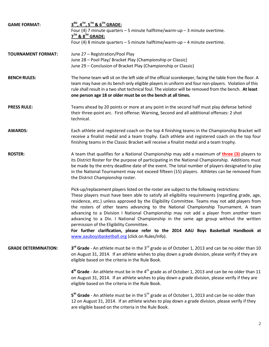| <b>GAME FORMAT:</b>         | 3 <sup>RD</sup> , 4 <sup>TH</sup> , 5 <sup>TH</sup> & 6 <sup>TH</sup> GRADE:                                                      |
|-----------------------------|-----------------------------------------------------------------------------------------------------------------------------------|
|                             | Four (4) 7 minute quarters $-5$ minute halftime/warm-up $-3$ minute overtime.                                                     |
|                             | $7TH$ & $8TH$ GRADE:                                                                                                              |
|                             | Four (4) 8 minute quarters - 5 minute halftime/warm-up - 4 minute overtime.                                                       |
| <b>TOURNAMENT FORMAT:</b>   | June 27 - Registration/Pool Play                                                                                                  |
|                             | June 28 - Pool Play/ Bracket Play (Championship or Classic)                                                                       |
|                             | June 29 - Conclusion of Bracket Play (Championship or Classic)                                                                    |
| <b>BENCH RULES:</b>         | The home team will sit on the left side of the official scorekeeper, facing the table from the floor. A                           |
|                             | team may have on its bench only eligible players in uniform and four non-players. Violation of this                               |
|                             | rule shall result in a two shot technical foul. The violator will be removed from the bench. At least                             |
|                             | one person age 18 or older must be on the bench at all times.                                                                     |
| <b>PRESS RULE:</b>          | Teams ahead by 20 points or more at any point in the second half must play defense behind                                         |
|                             | their three-point arc. First offense: Warning, Second and all additional offenses: 2 shot                                         |
|                             | technical.                                                                                                                        |
| <b>AWARDS:</b>              | Each athlete and registered coach on the top 4 finishing teams in the Championship Bracket will                                   |
|                             | receive a finalist medal and a team trophy. Each athlete and registered coach on the top four                                     |
|                             | finishing teams in the Classic Bracket will receive a finalist medal and a team trophy.                                           |
| <b>ROSTER:</b>              | A team that qualifies for a National Championship may add a maximum of <b>three (3)</b> players to                                |
|                             | its District Roster for the purpose of participating in the National Championship. Additions must                                 |
|                             | be made by the entry deadline date of the event. The total number of players designated to play                                   |
|                             | in the National Tournament may not exceed fifteen (15) players. Athletes can be removed from                                      |
|                             | the District Championship roster.                                                                                                 |
|                             | Pick-up/replacement players listed on the roster are subject to the following restrictions:                                       |
|                             | These players must have been able to satisfy all eligibility requirements (regarding grade, age,                                  |
|                             | residence, etc.) unless approved by the Eligibility Committee. Teams may not add players from                                     |
|                             | the rosters of other teams advancing to the National Championship Tournament. A team                                              |
|                             | advancing to a Division I National Championship may not add a player from another team                                            |
|                             | advancing to a Div. I National Championship in the same age group without the written<br>permission of the Eligibility Committee. |
|                             | For further clarification, please refer to the 2014 AAU Boys Basketball Handbook at                                               |
|                             | www.aauboysbasketball.org (click on Rules/Info).                                                                                  |
| <b>GRADE DETERMINATION:</b> | 3 <sup>rd</sup> Grade - An athlete must be in the 3 <sup>rd</sup> grade as of October 1, 2013 and can be no older than 10         |
|                             | on August 31, 2014. If an athlete wishes to play down a grade division, please verify if they are                                 |
|                             | eligible based on the criteria in the Rule Book.                                                                                  |
|                             | $4th$ Grade - An athlete must be in the $4th$ grade as of October 1, 2013 and can be no older than 11                             |
|                             | on August 31, 2014. If an athlete wishes to play down a grade division, please verify if they are                                 |
|                             | eligible based on the criteria in the Rule Book.                                                                                  |
|                             | 5 <sup>th</sup> Grade - An athlete must be in the 5 <sup>th</sup> grade as of October 1, 2013 and can be no older than            |
|                             | 12 on August 31, 2014. If an athlete wishes to play down a grade division, please verify if they                                  |
|                             | are eligible based on the criteria in the Rule Book.                                                                              |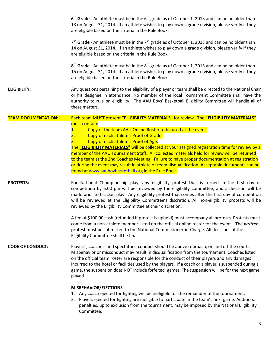|                            | $6th$ Grade - An athlete must be in the $6th$ grade as of October 1, 2013 and can be no older than<br>13 on August 31, 2014. If an athlete wishes to play down a grade division, please verify if they<br>are eligible based on the criteria in the Rule Book.                                                                                                                                                                                                                                                   |
|----------------------------|------------------------------------------------------------------------------------------------------------------------------------------------------------------------------------------------------------------------------------------------------------------------------------------------------------------------------------------------------------------------------------------------------------------------------------------------------------------------------------------------------------------|
|                            | $7th$ Grade - An athlete must be in the $7th$ grade as of October 1, 2013 and can be no older than<br>14 on August 31, 2014. If an athlete wishes to play down a grade division, please verify if they<br>are eligible based on the criteria in the Rule Book.                                                                                                                                                                                                                                                   |
|                            | $8th$ Grade - An athlete must be in the $8th$ grade as of October 1, 2013 and can be no older than<br>15 on August 31, 2014. If an athlete wishes to play down a grade division, please verify if they<br>are eligible based on the criteria in the Rule Book.                                                                                                                                                                                                                                                   |
| <b>ELIGIBILITY:</b>        | Any questions pertaining to the eligibility of a player or team shall be directed to the National Chair<br>or his designee in attendance. No member of the local Tournament Committee shall have the<br>authority to rule on eligibility. The AAU Boys' Basketball Eligibility Committee will handle all of<br>these matters.                                                                                                                                                                                    |
| <b>TEAM DOCUMENTATION:</b> | Each team MUST present "ELIGIBILITY MATERIALS" for review. The "ELIGIBILITY MATERIALS"                                                                                                                                                                                                                                                                                                                                                                                                                           |
|                            | must contain:<br>Copy of the team AAU Online Roster to be used at the event.<br><b>1.</b><br>Copy of each athlete's Proof of Grade.<br>2.<br>Copy of each athlete's Proof of Age.<br>3.<br>The "ELIGIBILITY MATERIALS" will be collected at your assigned registration time for review by a                                                                                                                                                                                                                      |
|                            | member of the AAU Tournament Staff. All collected materials held for review will be returned<br>to the team at the 2nd Coaches Meeting. Failure to have proper documentation at registration<br>or during the event may result in athlete or team disqualification. Acceptable documents can be<br>found at www.aauboybasketball.org in the Rule Book.                                                                                                                                                           |
| <b>PROTESTS:</b>           | For National Championship play, any eligibility protest that is turned in the first day of<br>competition by 6:00 pm will be reviewed by the eligibility committee, and a decision will be<br>made prior to bracket play. Any eligibility protest that comes after the first day of competition<br>will be reviewed at the Eligibility Committee's discretion. All non-eligibility protests will be<br>reviewed by the Eligibility Committee at their discretion.                                                |
|                            | A fee of \$100.00 cash (refunded if protest is upheld) must accompany all protests. Protests must<br>come from a non-athlete member listed on the official online roster for the event. The written<br>protest must be submitted to the National Commissioner-in-Charge. All decisions of the<br>Eligibility Committee shall be final.                                                                                                                                                                           |
| <b>CODE OF CONDUCT:</b>    | Players', coaches' and spectators' conduct should be above reproach, on and off the court.<br>Misbehavior or misconduct may result in disqualification from the tournament. Coaches listed<br>on the official team roster are responsible for the conduct of their players and any damages<br>incurred to the hotel or facilities used by the players. If a coach or a player is suspended during a<br>game, the suspension does NOT include forfeited games. The suspension will be for the next game<br>played |
|                            | <b>MISBEHAVIOR/EJECTIONS</b><br>1. Any coach ejected for fighting will be ineligible for the remainder of the tournament.<br>2. Players ejected for fighting are ineligible to participate in the team's next game. Additional<br>penalties, up to exclusion from the tournament, may be imposed by the National Eligibility<br>Committee.                                                                                                                                                                       |